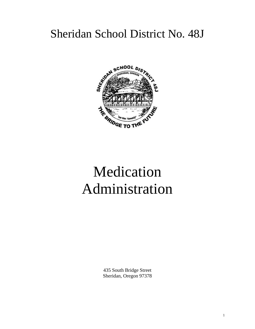# Sheridan School District No. 48J



# Medication Administration

435 South Bridge Street Sheridan, Oregon 97378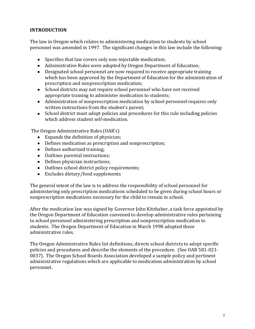# **INTRODUCTION**

The law in Oregon which relates to administering medication to students by school personnel was amended in 1997. The significant changes in this law include the following:

- Specifies that law covers only non-injectable medication;
- Administrative Rules were adopted by Oregon Department of Education;
- Designated school personnel are now required to receive appropriate training which has been approved by the Department of Education for the administration of prescription and nonprescription medication;
- School districts may not require school personnel who have not received appropriate training to administer medication to students;
- Administration of nonprescription medication by school personnel requires only written instructions from the student's parent;
- School district must adopt policies and procedures for this rule including policies which address student self-medication.

The Oregon Administrative Rules (OAR's)

- Expands the definition of physician;
- Defines medication as prescription and nonprescription;
- Defines authorized training;
- Outlines parental instructions;
- Defines physician instructions;
- Outlines school district policy requirements;
- Excludes dietary/food supplements

The general intent of the law is to address the responsibility of school personnel for administering only prescription medications scheduled to be given during school hours or nonprescription medications necessary for the child to remain in school.

After the medication law was signed by Governor John Kitzhaber, a task force appointed by the Oregon Department of Education convened to develop administrative rules pertaining to school personnel administering prescription and nonprescription medication to students. The Oregon Department of Education in March 1998 adopted these administrative rules.

The Oregon Administrative Rules list definitions, directs school districts to adopt specific policies and procedures and describe the elements of the procedure. (See OAR 581-021- 0037). The Oregon School Boards Association developed a sample policy and pertinent administrative regulations which are applicable to medication administration by school personnel.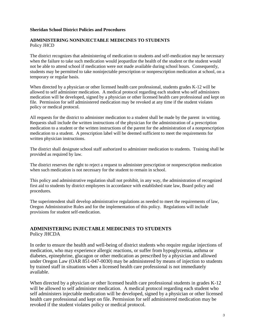#### **Sheridan School District Policies and Procedures**

#### **ADMINISTERING NONINJECTABLE MEDICINES TO STUDENTS** Policy JHCD

The district recognizes that administering of medication to students and self-medication may be necessary when the failure to take such medication would jeopardize the health of the student or the student would not be able to attend school if medication were not made available during school hours. Consequently, students may be permitted to take noninjectable prescription or nonprescription medication at school, on a temporary or regular basis.

When directed by a physician or other licensed health care professional, students grades K-12 will be allowed to self administer medication. A medical protocol regarding each student who self administers medication will be developed, signed by a physician or other licensed health care professional and kept on file. Permission for self administered medication may be revoked at any time if the student violates policy or medical protocol.

All requests for the district to administer medication to a student shall be made by the parent in writing. Requests shall include the written instructions of the physician for the administration of a prescription medication to a student or the written instructions of the parent for the administration of a nonprescription medication to a student. A prescription label will be deemed sufficient to meet the requirements for written physician instructions.

The district shall designate school staff authorized to administer medication to students. Training shall be provided as required by law.

The district reserves the right to reject a request to administer prescription or nonprescription medication when such medication is not necessary for the student to remain in school.

This policy and administrative regulation shall not prohibit, in any way, the administration of recognized first aid to students by district employees in accordance with established state law, Board policy and procedures.

The superintendent shall develop administrative regulations as needed to meet the requirements of law, Oregon Administrative Rules and for the implementation of this policy. Regulations will include provisions for student self-medication.

#### **ADMINISTERING INJECTABLE MEDICINES TO STUDENTS** Policy JHCDA

In order to ensure the health and well-being of district students who require regular injections of medication, who may experience allergic reactions, or suffer from hypoglycemia, asthma or diabetes, epinephrine, glucagon or other medication as prescribed by a physician and allowed under Oregon Law (OAR 851-047-0030) may be administered by means of injection to students by trained staff in situations when a licensed health care professional is not immediately available.

When directed by a physician or other licensed health care professional students in grades K-12 will be allowed to self administer medication. A medical protocol regarding each student who self administers injectable medication will be developed, signed by a physician or other licensed health care professional and kept on file. Permission for self administered medication may be revoked if the student violates policy or medical protocol.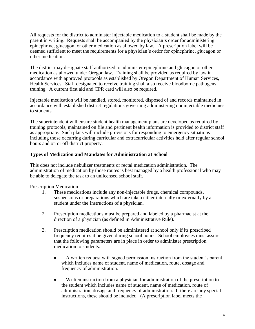All requests for the district to administer injectable medication to a student shall be made by the parent in writing. Requests shall be accompanied by the physician's order for administering epinephrine, glucagon, or other medication as allowed by law. A prescription label will be deemed sufficient to meet the requirements for a physician's order for epinephrine, glucagon or other medication.

The district may designate staff authorized to administer epinephrine and glucagon or other medication as allowed under Oregon law. Training shall be provided as required by law in accordance with approved protocols as established by Oregon Department of Human Services, Health Services. Staff designated to receive training shall also receive bloodborne pathogens training. A current first aid and CPR card will also be required.

Injectable medication will be handled, stored, monitored, disposed of and records maintained in accordance with established district regulations governing administering noninjectable medicines to students.

The superintendent will ensure student health management plans are developed as required by training protocols, maintained on file and pertinent health information is provided to district staff as appropriate. Such plans will include provisions for responding to emergency situations including those occurring during curricular and extracurricular activities held after regular school hours and on or off district property.

#### **Types of Medication and Mandates for Administration at School**

This does not include nebulizer treatments or rectal medication administration. The administration of medication by those routes is best managed by a health professional who may be able to delegate the task to an unlicensed school staff.

Prescription Medication

- 1. These medications include any non-injectable drugs, chemical compounds, suspensions or preparations which are taken either internally or externally by a student under the instructions of a physician.
- 2. Prescription medications must be prepared and labeled by a pharmacist at the direction of a physician (as defined in Administrative Rule).
- 3. Prescription medication should be administered at school only if its prescribed frequency requires it be given during school hours. School employees must assure that the following parameters are in place in order to administer prescription medication to students.
	- A written request with signed permission instruction from the student's parent  $\bullet$ which includes name of student, name of medication, route, dosage and frequency of administration.
	- Written instruction from a physician for administration of the prescription to  $\bullet$ the student which includes name of student, name of medication, route of administration, dosage and frequency of administration. If there are any special instructions, these should be included. (A prescription label meets the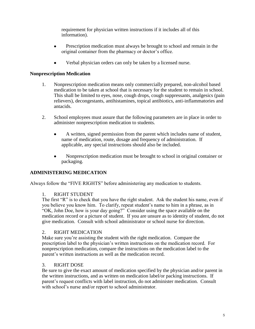requirement for physician written instructions if it includes all of this information).

- Prescription medication must always be brought to school and remain in the  $\bullet$ original container from the pharmacy or doctor's office.
- Verbal physician orders can only be taken by a licensed nurse.

#### **Nonprescription Medication**

- 1. Nonprescription medication means only commercially prepared, non-alcohol based medication to be taken at school that is necessary for the student to remain in school. This shall be limited to eyes, nose, cough drops, cough suppressants, analgesics (pain relievers), decongestants, antihistamines, topical antibiotics, anti-inflammatories and antacids.
- 2. School employees must assure that the following parameters are in place in order to administer nonprescription medication to students.
	- A written, signed permission from the parent which includes name of student,  $\bullet$ name of medication, route, dosage and frequency of administration. If applicable, any special instructions should also be included.
	- Nonprescription medication must be brought to school in original container or packaging.

#### **ADMINISTERING MEDICATION**

Always follow the "FIVE RIGHTS" before administering any medication to students.

#### 1. RIGHT STUDENT

The first "R" is to check that you have the right student. Ask the student his name, even if you believe you know him. To clarify, repeat student's name to him in a phrase, as in "OK, John Doe, how is your day going?" Consider using the space available on the medication record or a picture of student. If you are unsure as to identity of student, do not give medication. Consult with school administrator or school nurse for direction.

#### 2. RIGHT MEDICATION

Make sure you're assisting the student with the right medication. Compare the prescription label to the physician's written instructions on the medication record. For nonprescription medication, compare the instructions on the medication label to the parent's written instructions as well as the medication record.

#### 3. RIGHT DOSE

Be sure to give the exact amount of medication specified by the physician and/or parent in the written instructions, and as written on medication label/or packing instructions. If parent's request conflicts with label instruction, do not administer medication. Consult with school's nurse and/or report to school administrator.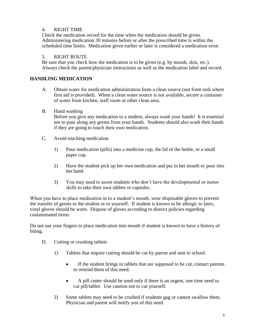#### 4. RIGHT TIME

Check the medication record for the time when the medication should be given. Administering medication 30 minutes before or after the prescribed time is within the scheduled time limits. Medication given earlier or later is considered a medication error.

#### 5. RIGHT ROUTE

Be sure that you check how the medication is to be given (e.g. by mouth, skin, etc.). Always check the parent/physician instructions as well as the medication label and record.

#### **HANDLING MEDICATION**

- A. Obtain water for medication administration from a clean source (not from sink where first aid is provided). When a clean water source is not available, secure a container of water from kitchen, staff room or other clean area.
- B. Hand washing

Before you give any medication to a student, always wash your hands! It is essential not to pass along any germs from your hands. Students should also wash their hands if they are going to touch their own medication.

- C. Avoid touching medication
	- 1) Pour medication (pills) into a medicine cup, the lid of the bottle, or a small paper cup.
	- 2) Have the student pick up her own medication and put in her mouth or pour into her hand.
	- 3) You may need to assist students who don't have the developmental or motor skills to take their own tablets or capsules.

When you have to place medication in to a student's mouth, wear disposable gloves to prevent the transfer of germs to the student or to yourself. If student is known to be allergic to latex, vinyl gloves should be worn. Dispose of gloves according to district policies regarding contaminated items.

Do not use your fingers to place medication into mouth if student is known to have a history of biting.

- D. Cutting or crushing tablets
	- 1) Tablets that require cutting should be cut by parent and sent to school.
		- $\bullet$ If the student brings in tablets that are supposed to be cut, contact parents to remind them of this need.
		- A pill cutter should be used only if there is an urgent, one time need to  $\bullet$ cut pill/tablet. Use caution not to cut yourself.
	- 2) Some tablets may need to be crushed if students gag or cannot swallow them. Physician and parent will notify you of this need.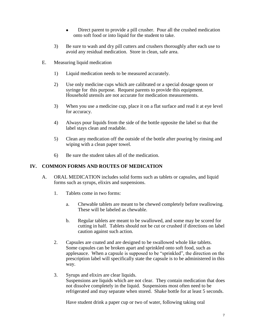- Direct parent to provide a pill crusher. Pour all the crushed medication  $\bullet$ onto soft food or into liquid for the student to take.
- 3) Be sure to wash and dry pill cutters and crushers thoroughly after each use to avoid any residual medication. Store in clean, safe area.
- E. Measuring liquid medication
	- 1) Liquid medication needs to be measured accurately.
	- 2) Use only medicine cups which are calibrated or a special dosage spoon or syringe for this purpose. Request parents to provide this equipment. Household utensils are not accurate for medication measurements.
	- 3) When you use a medicine cup, place it on a flat surface and read it at eye level for accuracy.
	- 4) Always pour liquids from the side of the bottle opposite the label so that the label stays clean and readable.
	- 5) Clean any medication off the outside of the bottle after pouring by rinsing and wiping with a clean paper towel.
	- 6) Be sure the student takes all of the medication.

#### **IV. COMMON FORMS AND ROUTES OF MEDICATION**

- A. ORAL MEDICATION includes solid forms such as tablets or capsules, and liquid forms such as syrups, elixirs and suspensions.
	- 1. Tablets come in two forms:
		- a. Chewable tablets are meant to be chewed completely before swallowing. These will be labeled as chewable.
		- b. Regular tablets are meant to be swallowed, and some may be scored for cutting in half. Tablets should not be cut or crushed if directions on label caution against such action.
	- 2. Capsules are coated and are designed to be swallowed whole like tablets. Some capsules can be broken apart and sprinkled onto soft food, such as applesauce. When a capsule is supposed to be "sprinkled", the direction on the prescription label will specifically state the capsule is to be administered in this way.
	- 3. Syrups and elixirs are clear liquids. Suspensions are liquids which are not clear. They contain medication that does not dissolve completely in the liquid. Suspensions most often need to be refrigerated and may separate when stored. Shake bottle for at least 5 seconds.

Have student drink a paper cup or two of water, following taking oral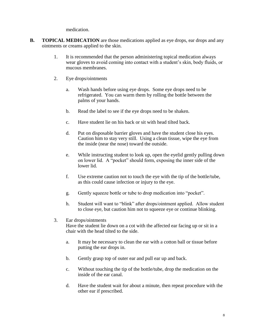medication.

- **B. TOPICAL MEDICATION** are those medications applied as eye drops, ear drops and any ointments or creams applied to the skin.
	- 1. It is recommended that the person administering topical medication always wear gloves to avoid coming into contact with a student's skin, body fluids, or mucous membranes.
	- 2. Eye drops/ointments
		- a. Wash hands before using eye drops. Some eye drops need to be refrigerated. You can warm them by rolling the bottle between the palms of your hands.
		- b. Read the label to see if the eye drops need to be shaken.
		- c. Have student lie on his back or sit with head tilted back.
		- d. Put on disposable barrier gloves and have the student close his eyes. Caution him to stay very still. Using a clean tissue, wipe the eye from the inside (near the nose) toward the outside.
		- e. While instructing student to look up, open the eyelid gently pulling down on lower lid. A "pocket" should form, exposing the inner side of the lower lid.
		- f. Use extreme caution not to touch the eye with the tip of the bottle/tube, as this could cause infection or injury to the eye.
		- g. Gently squeeze bottle or tube to drop medication into "pocket".
		- h. Student will want to "blink" after drops/ointment applied. Allow student to close eye, but caution him not to squeeze eye or continue blinking.
	- 3. Ear drops/ointments Have the student lie down on a cot with the affected ear facing up or sit in a chair with the head tilted to the side.
		- a. It may be necessary to clean the ear with a cotton ball or tissue before putting the ear drops in.
		- b. Gently grasp top of outer ear and pull ear up and back.
		- c. Without touching the tip of the bottle/tube, drop the medication on the inside of the ear canal.
		- d. Have the student wait for about a minute, then repeat procedure with the other ear if prescribed.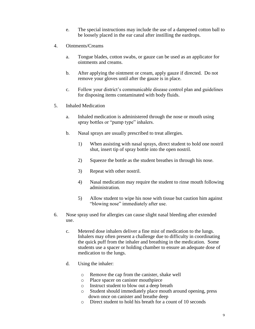- e. The special instructions may include the use of a dampened cotton ball to be loosely placed in the ear canal after instilling the eardrops.
- 4. Ointments/Creams
	- a. Tongue blades, cotton swabs, or gauze can be used as an applicator for ointments and creams.
	- b. After applying the ointment or cream, apply gauze if directed. Do not remove your gloves until after the gauze is in place.
	- c. Follow your district's communicable disease control plan and guidelines for disposing items contaminated with body fluids.
- 5. Inhaled Medication
	- a. Inhaled medication is administered through the nose or mouth using spray bottles or "pump type" inhalers.
	- b. Nasal sprays are usually prescribed to treat allergies.
		- 1) When assisting with nasal sprays, direct student to hold one nostril shut, insert tip of spray bottle into the open nostril.
		- 2) Squeeze the bottle as the student breathes in through his nose.
		- 3) Repeat with other nostril.
		- 4) Nasal medication may require the student to rinse mouth following administration.
		- 5) Allow student to wipe his nose with tissue but caution him against "blowing nose" immediately after use.
- 6. Nose spray used for allergies can cause slight nasal bleeding after extended use.
	- c. Metered dose inhalers deliver a fine mist of medication to the lungs. Inhalers may often present a challenge due to difficulty in coordinating the quick puff from the inhaler and breathing in the medication. Some students use a spacer or holding chamber to ensure an adequate dose of medication to the lungs.
	- d. Using the inhaler:
		- o Remove the cap from the canister, shake well
		- o Place spacer on canister mouthpiece
		- o Instruct student to blow out a deep breath
		- o Student should immediately place mouth around opening, press down once on canister and breathe deep
		- o Direct student to hold his breath for a count of 10 seconds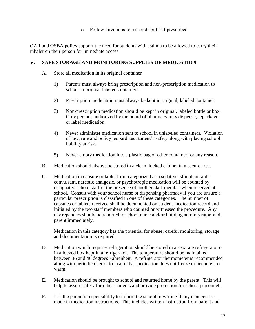#### o Follow directions for second "puff" if prescribed

OAR and OSBA policy support the need for students with asthma to be allowed to carry their inhaler on their person for immediate access.

#### **V. SAFE STORAGE AND MONITORING SUPPLIES OF MEDICATION**

- A. Store all medication in its original container
	- 1) Parents must always bring prescription and non-prescription medication to school in original labeled containers.
	- 2) Prescription medication must always be kept in original, labeled container.
	- 3) Non-prescription medication should be kept in original, labeled bottle or box. Only persons authorized by the board of pharmacy may dispense, repackage, or label medication.
	- 4) Never administer medication sent to school in unlabeled containers. Violation of law, rule and policy jeopardizes student's safety along with placing school liability at risk.
	- 5) Never empty medication into a plastic bag or other container for any reason.
- B. Medication should always be stored in a clean, locked cabinet in a secure area.
- C. Medication in capsule or tablet form categorized as a sedative, stimulant, anticonvulsant, narcotic analgesic, or psychotropic medication will be counted by designated school staff in the presence of another staff member when received at school. Consult with your school nurse or dispensing pharmacy if you are unsure a particular prescription is classified in one of these categories. The number of capsules or tablets received shall be documented on student medication record and initialed by the two staff members who counted or witnessed the procedure. Any discrepancies should be reported to school nurse and/or building administrator, and parent immediately.

Medication in this category has the potential for abuse; careful monitoring, storage and documentation is required.

- D. Medication which requires refrigeration should be stored in a separate refrigerator or in a locked box kept in a refrigerator. The temperature should be maintained between 36 and 46 degrees Fahrenheit. A refrigerator thermometer is recommended along with periodic checks to insure that medication does not freeze or become too warm.
- E. Medication should be brought to school and returned home by the parent. This will help to assure safety for other students and provide protection for school personnel.
- F. It is the parent's responsibility to inform the school in writing if any changes are made in medication instructions. This includes written instruction from parent and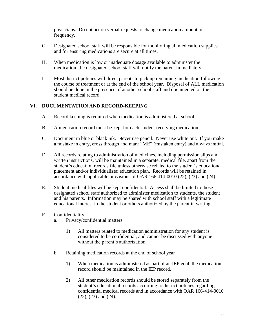physicians. Do not act on verbal requests to change medication amount or frequency.

- G. Designated school staff will be responsible for monitoring all medication supplies and for ensuring medications are secure at all times.
- H. When medication is low or inadequate dosage available to administer the medication, the designated school staff will notify the parent immediately.
- I. Most district policies will direct parents to pick up remaining medication following the course of treatment or at the end of the school year. Disposal of ALL medication should be done in the presence of another school staff and documented on the student medical record.

#### **VI. DOCUMENTATION AND RECORD-KEEPING**

- A. Record keeping is required when medication is administered at school.
- B. A medication record must be kept for each student receiving medication.
- C. Document in blue or black ink. Never use pencil. Never use white out. If you make a mistake in entry, cross through and mark "ME" (mistaken entry) and always initial.
- D. All records relating to administration of medicines, including permission slips and written instructions, will be maintained in a separate, medical file, apart from the student's education records file unless otherwise related to the student's educational placement and/or individualized education plan. Records will be retained in accordance with applicable provisions of OAR 166 414-0010 (22), (23) and (24).
- E. Student medical files will be kept confidential. Access shall be limited to those designated school staff authorized to administer medication to students, the student and his parents. Information may be shared with school staff with a legitimate educational interest in the student or others authorized by the parent in writing.
- F. Confidentiality
	- a. Privacy/confidential matters
		- 1) All matters related to medication administration for any student is considered to be confidential, and cannot be discussed with anyone without the parent's authorization.
	- b. Retaining medication records at the end of school year
		- 1) When medication is administered as part of an IEP goal, the medication record should be maintained in the IEP record.
		- 2) All other medication records should be stored separately from the student's educational records according to district policies regarding confidential medical records and in accordance with OAR 166-414-0010 (22), (23) and (24).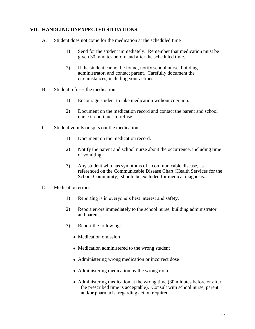#### **VII. HANDLING UNEXPECTED SITUATIONS**

- A. Student does not come for the medication at the scheduled time
	- 1) Send for the student immediately. Remember that medication must be given 30 minutes before and after the scheduled time.
	- 2) If the student cannot be found, notify school nurse, building administrator, and contact parent. Carefully document the circumstances, including your actions.
- B. Student refuses the medication.
	- 1) Encourage student to take medication without coercion.
	- 2) Document on the medication record and contact the parent and school nurse if continues to refuse.
- C. Student vomits or spits out the medication
	- 1) Document on the medication record.
	- 2) Notify the parent and school nurse about the occurrence, including time of vomiting.
	- 3) Any student who has symptoms of a communicable disease, as referenced on the Communicable Disease Chart (Health Services for the School Community), should be excluded for medical diagnosis.
- D. Medication errors
	- 1) Reporting is in everyone's best interest and safety.
	- 2) Report errors immediately to the school nurse, building administrator and parent.
	- 3) Report the following:
		- Medication omission
		- Medication administered to the wrong student
		- Administering wrong medication or incorrect dose
		- Administering medication by the wrong route
		- Administering medication at the wrong time (30 minutes before or after the prescribed time is acceptable). Consult with school nurse, parent and/or pharmacist regarding action required.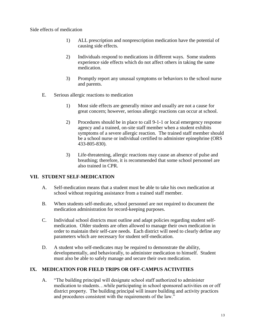Side effects of medication

- 1) ALL prescription and nonprescription medication have the potential of causing side effects.
- 2) Individuals respond to medications in different ways. Some students experience side effects which do not affect others in taking the same medication.
- 3) Promptly report any unusual symptoms or behaviors to the school nurse and parents.
- E. Serious allergic reactions to medication
	- 1) Most side effects are generally minor and usually are not a cause for great concern; however, serious allergic reactions can occur at school.
	- 2) Procedures should be in place to call 9-1-1 or local emergency response agency and a trained, on-site staff member when a student exhibits symptoms of a severe allergic reaction. The trained staff member should be a school nurse or individual certified to administer epinephrine (ORS 433-805-830).
	- 3) Life-threatening, allergic reactions may cause an absence of pulse and breathing; therefore, it is recommended that some school personnel are also trained in CPR.

#### **VII. STUDENT SELF-MEDICATION**

- A. Self-medication means that a student must be able to take his own medication at school without requiring assistance from a trained staff member.
- B. When students self-medicate, school personnel are not required to document the medication administration for record-keeping purposes.
- C. Individual school districts must outline and adapt policies regarding student selfmedication. Older students are often allowed to manage their own medication in order to maintain their self-care needs. Each district will need to clearly define any parameters which are necessary for student self-medication.
- D. A student who self-medicates may be required to demonstrate the ability, developmentally, and behaviorally, to administer medication to himself. Student must also be able to safely manage and secure their own medication.

# **IX. MEDICATION FOR FIELD TRIPS OR OFF-CAMPUS ACTIVITIES**

A. "The building principal will designate school staff authorized to administer medication to students…while participating in school sponsored activities on or off district property. The building principal will insure building and activity practices and procedures consistent with the requirements of the law."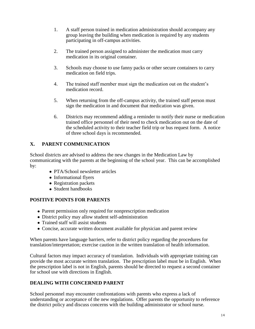- 1. A staff person trained in medication administration should accompany any group leaving the building when medication is required by any students participating in off-campus activities.
- 2. The trained person assigned to administer the medication must carry medication in its original container.
- 3. Schools may choose to use fanny packs or other secure containers to carry medication on field trips.
- 4. The trained staff member must sign the medication out on the student's medication record.
- 5. When returning from the off-campus activity, the trained staff person must sign the medication in and document that medication was given.
- 6. Districts may recommend adding a reminder to notify their nurse or medication trained office personnel of their need to check medication out on the date of the scheduled activity to their teacher field trip or bus request form. A notice of three school days is recommended.

# **X. PARENT COMMUNICATION**

School districts are advised to address the new changes in the Medication Law by communicating with the parents at the beginning of the school year. This can be accomplished by:

- PTA/School newsletter articles
- Informational flyers
- Registration packets
- Student handbooks

# **POSITIVE POINTS FOR PARENTS**

- Parent permission only required for nonprescription medication
- District policy may allow student self-administration
- Trained staff will assist students
- Concise, accurate written document available for physician and parent review

When parents have language barriers, refer to district policy regarding the procedures for translation/interpretation; exercise caution in the written translation of health information.

Cultural factors may impact accuracy of translation. Individuals with appropriate training can provide the most accurate written translation. The prescription label must be in English. When the prescription label is not in English, parents should be directed to request a second container for school use with directions in English.

# **DEALING WITH CONCERNED PARENT**

School personnel may encounter confrontations with parents who express a lack of understanding or acceptance of the new regulations. Offer parents the opportunity to reference the district policy and discuss concerns with the building administrator or school nurse.